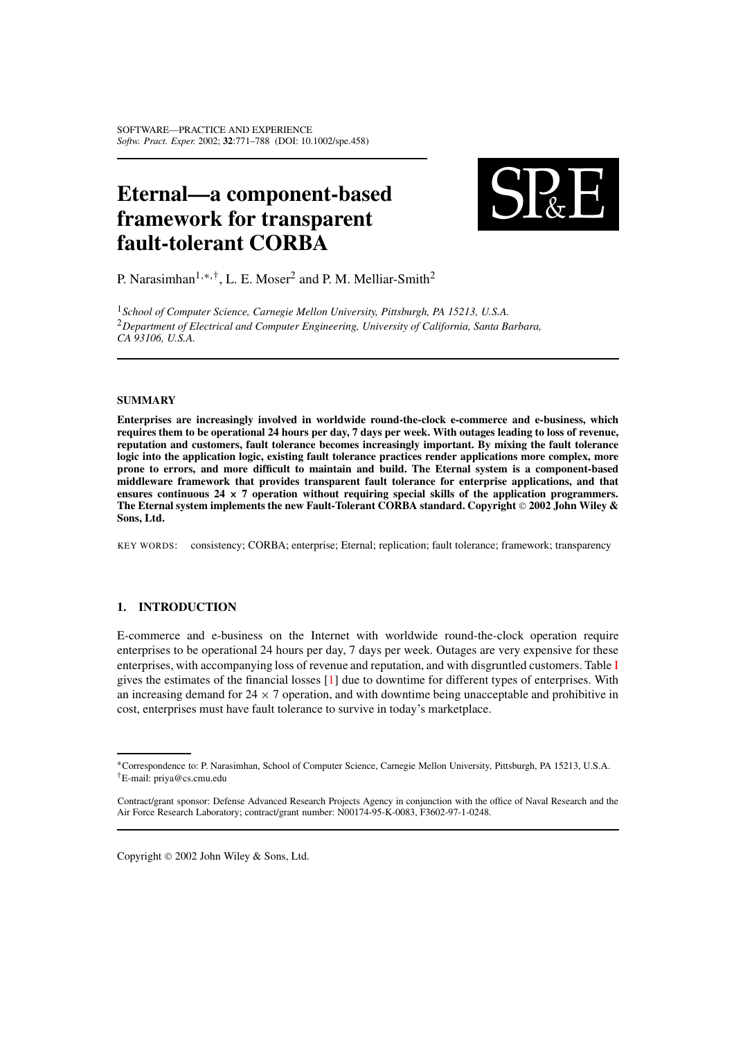# **Eternal—a component-based framework for transparent fault-tolerant CORBA**



P. Narasimhan<sup>1,∗,†</sup>, L. E. Moser<sup>2</sup> and P. M. Melliar-Smith<sup>2</sup>

<sup>1</sup>*School of Computer Science, Carnegie Mellon University, Pittsburgh, PA 15213, U.S.A.* <sup>2</sup>*Department of Electrical and Computer Engineering, University of California, Santa Barbara, CA 93106, U.S.A.*

# **SUMMARY**

**Enterprises are increasingly involved in worldwide round-the-clock e-commerce and e-business, which requires them to be operational 24 hours per day, 7 days per week. With outages leading to loss of revenue, reputation and customers, fault tolerance becomes increasingly important. By mixing the fault tolerance logic into the application logic, existing fault tolerance practices render applications more complex, more prone to errors, and more difficult to maintain and build. The Eternal system is a component-based middleware framework that provides transparent fault tolerance for enterprise applications, and that ensures continuous 24**  $\times$  7 operation without requiring special skills of the application programmers. **The Eternal system implements the new Fault-Tolerant CORBA standard. Copyright 2002 John Wiley & Sons, Ltd.**

KEY WORDS: consistency; CORBA; enterprise; Eternal; replication; fault tolerance; framework; transparency

# **1. INTRODUCTION**

E-commerce and e-business on the Internet with worldwide round-the-clock operation require enterprises to be operational 24 hours per day, 7 days per week. Outages are very expensive for these enterprises, with accompanying loss of revenue and reputation, and with disgruntled customers. Table [I](#page-1-0) gives the estimates of the financial losses  $[1]$  $[1]$  due to downtime for different types of enterprises. With an increasing demand for  $24 \times 7$  operation, and with downtime being unacceptable and prohibitive in cost, enterprises must have fault tolerance to survive in today's marketplace.

Copyright  $\odot$  2002 John Wiley & Sons, Ltd.

<sup>∗</sup>Correspondence to: P. Narasimhan, School of Computer Science, Carnegie Mellon University, Pittsburgh, PA 15213, U.S.A. †E-mail: priya@cs.cmu.edu

Contract/grant sponsor: Defense Advanced Research Projects Agency in conjunction with the office of Naval Research and the Air Force Research Laboratory; contract/grant number: N00174-95-K-0083, F3602-97-1-0248.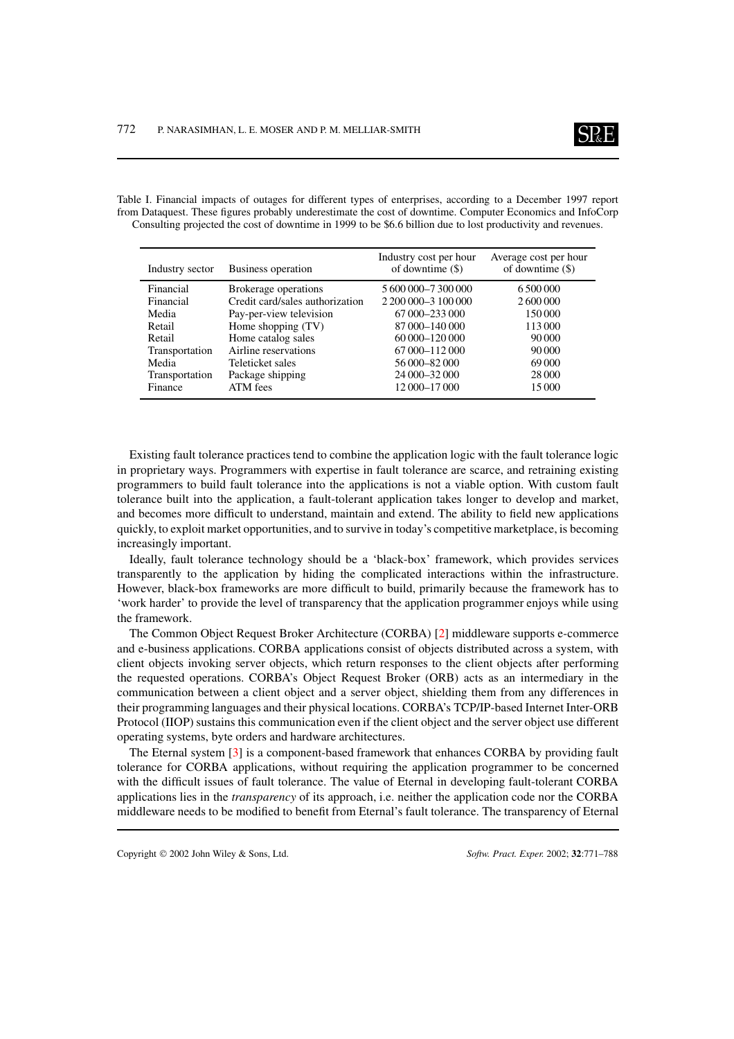

<span id="page-1-0"></span>Table I. Financial impacts of outages for different types of enterprises, according to a December 1997 report from Dataquest. These figures probably underestimate the cost of downtime. Computer Economics and InfoCorp Consulting projected the cost of downtime in 1999 to be \$6.6 billion due to lost productivity and revenues.

| Industry sector | Business operation              | Industry cost per hour<br>of downtime $(\$)$ | Average cost per hour<br>of downtime $(\$)$ |
|-----------------|---------------------------------|----------------------------------------------|---------------------------------------------|
| Financial       | Brokerage operations            | 5 600 000 - 7 300 000                        | 6 500 000                                   |
| Financial       | Credit card/sales authorization | 2 200 000 - 3 100 000                        | 2 600 000                                   |
| Media           | Pay-per-view television         | 67 000 - 233 000                             | 150 000                                     |
| Retail          | Home shopping (TV)              | 87 000 - 140 000                             | 113 000                                     |
| Retail          | Home catalog sales              | 60 000 - 120 000                             | 90 000                                      |
| Transportation  | Airline reservations            | 67 000 - 112 000                             | 90 000                                      |
| Media           | Teleticket sales                | 56 000 - 82 000                              | 69 000                                      |
| Transportation  | Package shipping                | 24 000 - 32 000                              | 28 000                                      |
| Finance         | ATM fees                        | 12 000 - 17 000                              | 15 000                                      |

Existing fault tolerance practices tend to combine the application logic with the fault tolerance logic in proprietary ways. Programmers with expertise in fault tolerance are scarce, and retraining existing programmers to build fault tolerance into the applications is not a viable option. With custom fault tolerance built into the application, a fault-tolerant application takes longer to develop and market, and becomes more difficult to understand, maintain and extend. The ability to field new applications quickly, to exploit market opportunities, and to survive in today's competitive marketplace, is becoming increasingly important.

Ideally, fault tolerance technology should be a 'black-box' framework, which provides services transparently to the application by hiding the complicated interactions within the infrastructure. However, black-box frameworks are more difficult to build, primarily because the framework has to 'work harder' to provide the level of transparency that the application programmer enjoys while using the framework.

The Common Object Request Broker Architecture (CORBA) [[2\]](#page-17-2) middleware supports e-commerce and e-business applications. CORBA applications consist of objects distributed across a system, with client objects invoking server objects, which return responses to the client objects after performing the requested operations. CORBA's Object Request Broker (ORB) acts as an intermediary in the communication between a client object and a server object, shielding them from any differences in their programming languages and their physical locations. CORBA's TCP/IP-based Internet Inter-ORB Protocol (IIOP) sustains this communication even if the client object and the server object use different operating systems, byte orders and hardware architectures.

The Eternal system [\[3\]](#page-17-1) is a component-based framework that enhances CORBA by providing fault tolerance for CORBA applications, without requiring the application programmer to be concerned with the difficult issues of fault tolerance. The value of Eternal in developing fault-tolerant CORBA applications lies in the *transparency* of its approach, i.e. neither the application code nor the CORBA middleware needs to be modified to benefit from Eternal's fault tolerance. The transparency of Eternal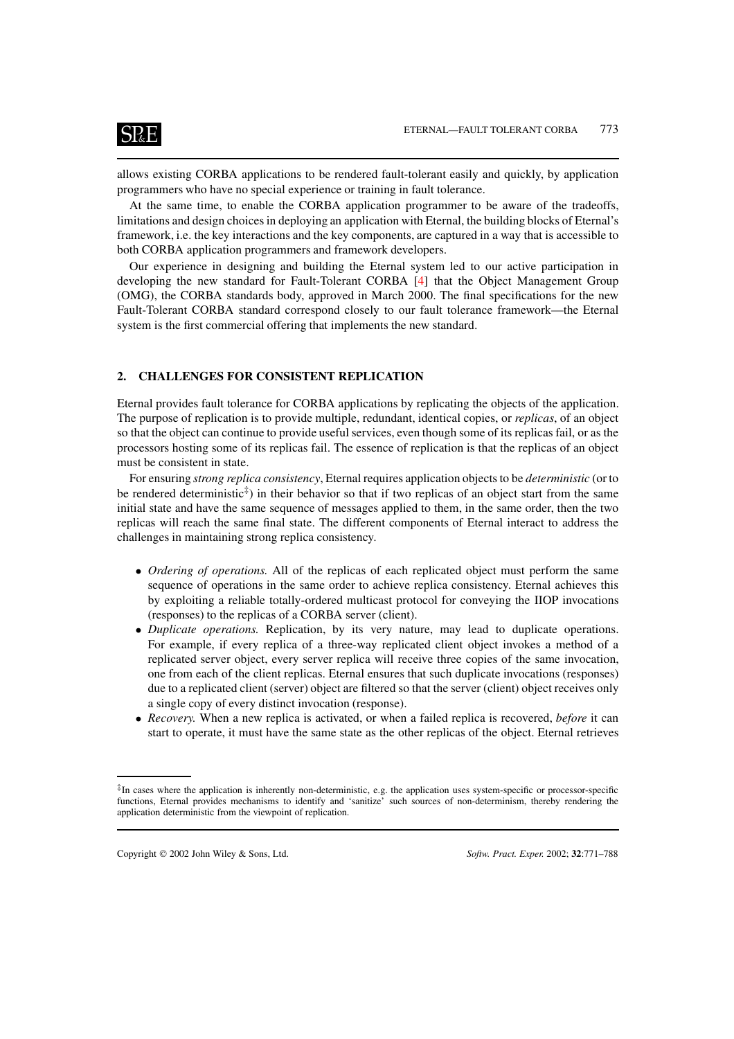

allows existing CORBA applications to be rendered fault-tolerant easily and quickly, by application programmers who have no special experience or training in fault tolerance.

At the same time, to enable the CORBA application programmer to be aware of the tradeoffs, limitations and design choices in deploying an application with Eternal, the building blocks of Eternal's framework, i.e. the key interactions and the key components, are captured in a way that is accessible to both CORBA application programmers and framework developers.

Our experience in designing and building the Eternal system led to our active participation in developing the new standard for Fault-Tolerant CORBA [[4\]](#page-17-3) that the Object Management Group (OMG), the CORBA standards body, approved in March 2000. The final specifications for the new Fault-Tolerant CORBA standard correspond closely to our fault tolerance framework—the Eternal system is the first commercial offering that implements the new standard.

## **2. CHALLENGES FOR CONSISTENT REPLICATION**

Eternal provides fault tolerance for CORBA applications by replicating the objects of the application. The purpose of replication is to provide multiple, redundant, identical copies, or *replicas*, of an object so that the object can continue to provide useful services, even though some of its replicas fail, or as the processors hosting some of its replicas fail. The essence of replication is that the replicas of an object must be consistent in state.

For ensuring *strong replica consistency*, Eternal requires application objects to be *deterministic* (or to be rendered deterministic<sup>‡</sup>) in their behavior so that if two replicas of an object start from the same initial state and have the same sequence of messages applied to them, in the same order, then the two replicas will reach the same final state. The different components of Eternal interact to address the challenges in maintaining strong replica consistency.

- *Ordering of operations.* All of the replicas of each replicated object must perform the same sequence of operations in the same order to achieve replica consistency. Eternal achieves this by exploiting a reliable totally-ordered multicast protocol for conveying the IIOP invocations (responses) to the replicas of a CORBA server (client).
- *Duplicate operations.* Replication, by its very nature, may lead to duplicate operations. For example, if every replica of a three-way replicated client object invokes a method of a replicated server object, every server replica will receive three copies of the same invocation, one from each of the client replicas. Eternal ensures that such duplicate invocations (responses) due to a replicated client (server) object are filtered so that the server (client) object receives only a single copy of every distinct invocation (response).
- *Recovery.* When a new replica is activated, or when a failed replica is recovered, *before* it can start to operate, it must have the same state as the other replicas of the object. Eternal retrieves

 $\ddot{\tau}$ In cases where the application is inherently non-deterministic, e.g. the application uses system-specific or processor-specific functions, Eternal provides mechanisms to identify and 'sanitize' such sources of non-determinism, thereby rendering the application deterministic from the viewpoint of replication.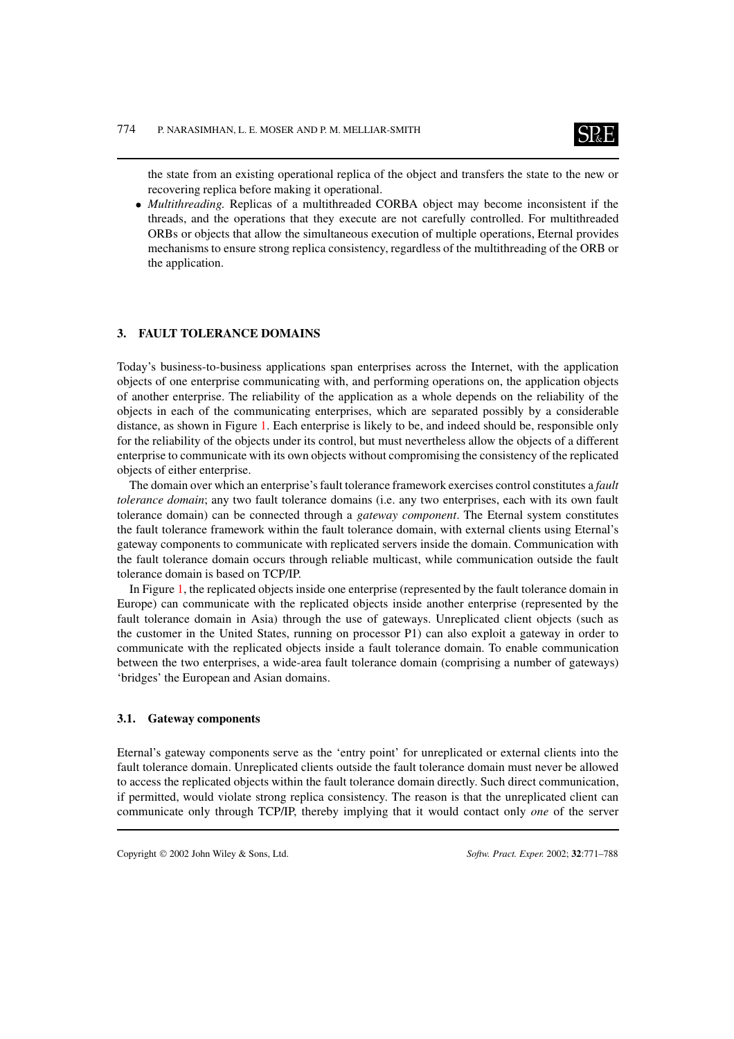the state from an existing operational replica of the object and transfers the state to the new or recovering replica before making it operational.

• *Multithreading*. Replicas of a multithreaded CORBA object may become inconsistent if the threads, and the operations that they execute are not carefully controlled. For multithreaded ORBs or objects that allow the simultaneous execution of multiple operations, Eternal provides mechanisms to ensure strong replica consistency, regardless of the multithreading of the ORB or the application.

## **3. FAULT TOLERANCE DOMAINS**

Today's business-to-business applications span enterprises across the Internet, with the application objects of one enterprise communicating with, and performing operations on, the application objects of another enterprise. The reliability of the application as a whole depends on the reliability of the objects in each of the communicating enterprises, which are separated possibly by a considerable distance, as shown in Figure [1](#page-4-0). Each enterprise is likely to be, and indeed should be, responsible only for the reliability of the objects under its control, but must nevertheless allow the objects of a different enterprise to communicate with its own objects without compromising the consistency of the replicated objects of either enterprise.

The domain over which an enterprise's fault tolerance framework exercises control constitutes a *fault tolerance domain*; any two fault tolerance domains (i.e. any two enterprises, each with its own fault tolerance domain) can be connected through a *gateway component*. The Eternal system constitutes the fault tolerance framework within the fault tolerance domain, with external clients using Eternal's gateway components to communicate with replicated servers inside the domain. Communication with the fault tolerance domain occurs through reliable multicast, while communication outside the fault tolerance domain is based on TCP/IP.

In Figure [1,](#page-4-0) the replicated objects inside one enterprise (represented by the fault tolerance domain in Europe) can communicate with the replicated objects inside another enterprise (represented by the fault tolerance domain in Asia) through the use of gateways. Unreplicated client objects (such as the customer in the United States, running on processor P1) can also exploit a gateway in order to communicate with the replicated objects inside a fault tolerance domain. To enable communication between the two enterprises, a wide-area fault tolerance domain (comprising a number of gateways) 'bridges' the European and Asian domains.

#### **3.1. Gateway components**

Eternal's gateway components serve as the 'entry point' for unreplicated or external clients into the fault tolerance domain. Unreplicated clients outside the fault tolerance domain must never be allowed to access the replicated objects within the fault tolerance domain directly. Such direct communication, if permitted, would violate strong replica consistency. The reason is that the unreplicated client can communicate only through TCP/IP, thereby implying that it would contact only *one* of the server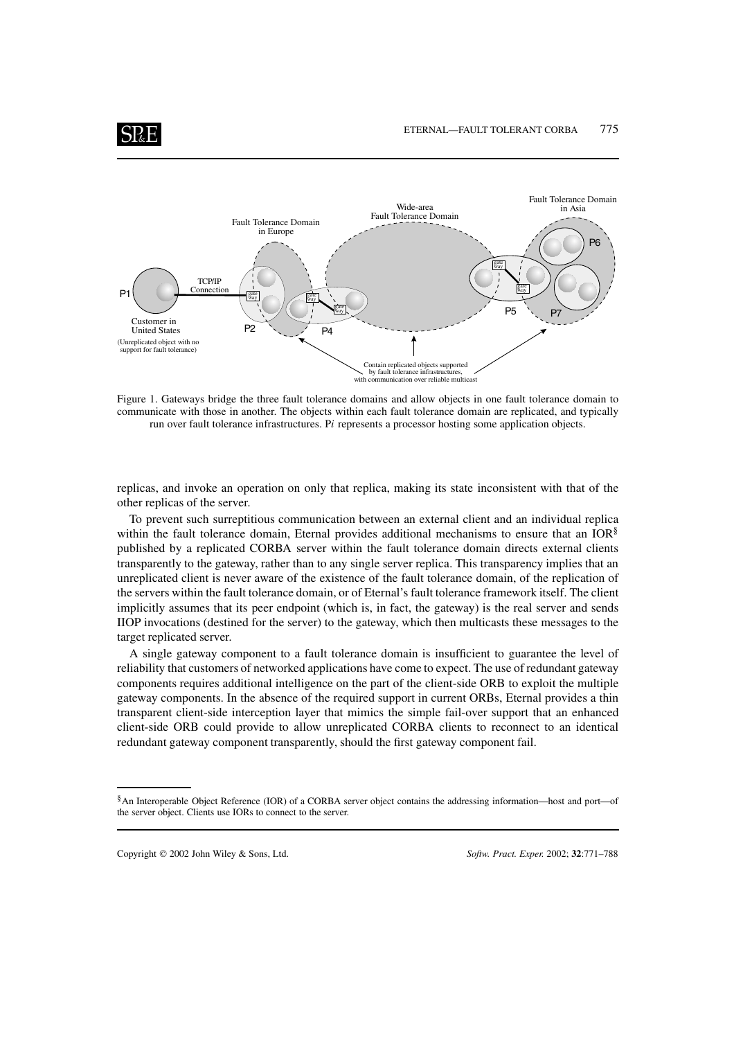<span id="page-4-0"></span>

Figure 1. Gateways bridge the three fault tolerance domains and allow objects in one fault tolerance domain to communicate with those in another. The objects within each fault tolerance domain are replicated, and typically run over fault tolerance infrastructures. P*i* represents a processor hosting some application objects.

replicas, and invoke an operation on only that replica, making its state inconsistent with that of the other replicas of the server.

To prevent such surreptitious communication between an external client and an individual replica within the fault tolerance domain, Eternal provides additional mechanisms to ensure that an IOR<sup>§</sup> published by a replicated CORBA server within the fault tolerance domain directs external clients transparently to the gateway, rather than to any single server replica. This transparency implies that an unreplicated client is never aware of the existence of the fault tolerance domain, of the replication of the servers within the fault tolerance domain, or of Eternal's fault tolerance framework itself. The client implicitly assumes that its peer endpoint (which is, in fact, the gateway) is the real server and sends IIOP invocations (destined for the server) to the gateway, which then multicasts these messages to the target replicated server.

A single gateway component to a fault tolerance domain is insufficient to guarantee the level of reliability that customers of networked applications have come to expect. The use of redundant gateway components requires additional intelligence on the part of the client-side ORB to exploit the multiple gateway components. In the absence of the required support in current ORBs, Eternal provides a thin transparent client-side interception layer that mimics the simple fail-over support that an enhanced client-side ORB could provide to allow unreplicated CORBA clients to reconnect to an identical redundant gateway component transparently, should the first gateway component fail.

 $§$ An Interoperable Object Reference (IOR) of a CORBA server object contains the addressing information—host and port—of the server object. Clients use IORs to connect to the server.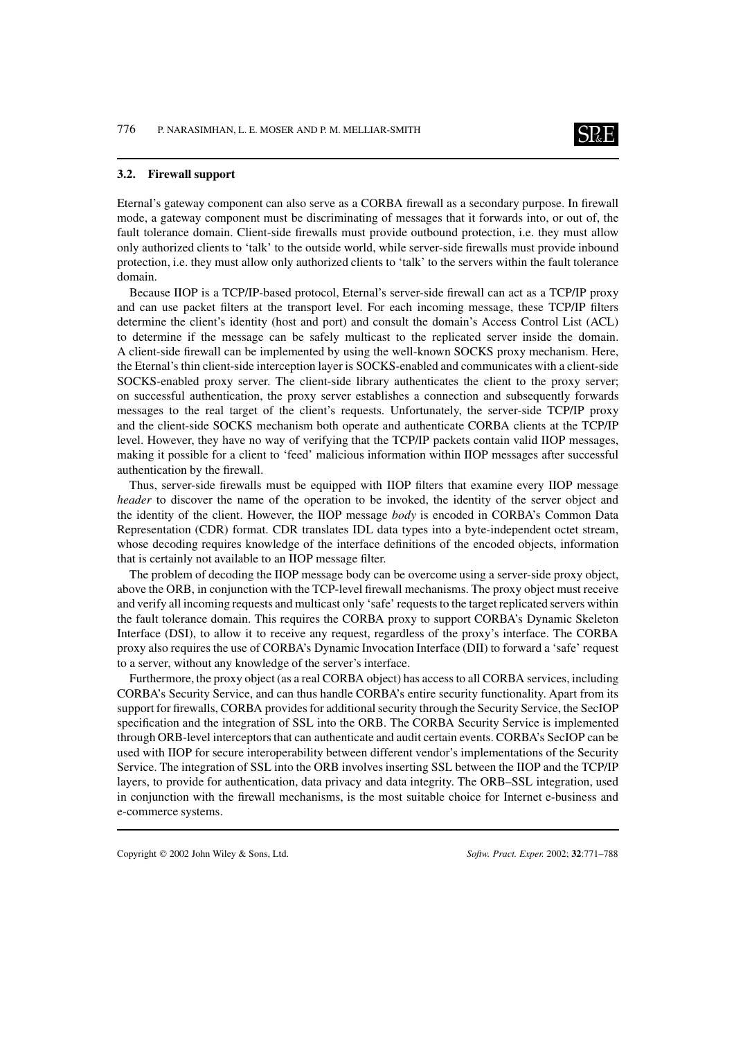#### **3.2. Firewall support**

Eternal's gateway component can also serve as a CORBA firewall as a secondary purpose. In firewall mode, a gateway component must be discriminating of messages that it forwards into, or out of, the fault tolerance domain. Client-side firewalls must provide outbound protection, i.e. they must allow only authorized clients to 'talk' to the outside world, while server-side firewalls must provide inbound protection, i.e. they must allow only authorized clients to 'talk' to the servers within the fault tolerance domain.

Because IIOP is a TCP/IP-based protocol, Eternal's server-side firewall can act as a TCP/IP proxy and can use packet filters at the transport level. For each incoming message, these TCP/IP filters determine the client's identity (host and port) and consult the domain's Access Control List (ACL) to determine if the message can be safely multicast to the replicated server inside the domain. A client-side firewall can be implemented by using the well-known SOCKS proxy mechanism. Here, the Eternal's thin client-side interception layer is SOCKS-enabled and communicates with a client-side SOCKS-enabled proxy server. The client-side library authenticates the client to the proxy server; on successful authentication, the proxy server establishes a connection and subsequently forwards messages to the real target of the client's requests. Unfortunately, the server-side TCP/IP proxy and the client-side SOCKS mechanism both operate and authenticate CORBA clients at the TCP/IP level. However, they have no way of verifying that the TCP/IP packets contain valid IIOP messages, making it possible for a client to 'feed' malicious information within IIOP messages after successful authentication by the firewall.

Thus, server-side firewalls must be equipped with IIOP filters that examine every IIOP message *header* to discover the name of the operation to be invoked, the identity of the server object and the identity of the client. However, the IIOP message *body* is encoded in CORBA's Common Data Representation (CDR) format. CDR translates IDL data types into a byte-independent octet stream, whose decoding requires knowledge of the interface definitions of the encoded objects, information that is certainly not available to an IIOP message filter.

The problem of decoding the IIOP message body can be overcome using a server-side proxy object, above the ORB, in conjunction with the TCP-level firewall mechanisms. The proxy object must receive and verify all incoming requests and multicast only 'safe' requests to the target replicated servers within the fault tolerance domain. This requires the CORBA proxy to support CORBA's Dynamic Skeleton Interface (DSI), to allow it to receive any request, regardless of the proxy's interface. The CORBA proxy also requires the use of CORBA's Dynamic Invocation Interface (DII) to forward a 'safe' request to a server, without any knowledge of the server's interface.

Furthermore, the proxy object (as a real CORBA object) has access to all CORBA services, including CORBA's Security Service, and can thus handle CORBA's entire security functionality. Apart from its support for firewalls, CORBA provides for additional security through the Security Service, the SecIOP specification and the integration of SSL into the ORB. The CORBA Security Service is implemented through ORB-level interceptors that can authenticate and audit certain events. CORBA's SecIOP can be used with IIOP for secure interoperability between different vendor's implementations of the Security Service. The integration of SSL into the ORB involves inserting SSL between the IIOP and the TCP/IP layers, to provide for authentication, data privacy and data integrity. The ORB–SSL integration, used in conjunction with the firewall mechanisms, is the most suitable choice for Internet e-business and e-commerce systems.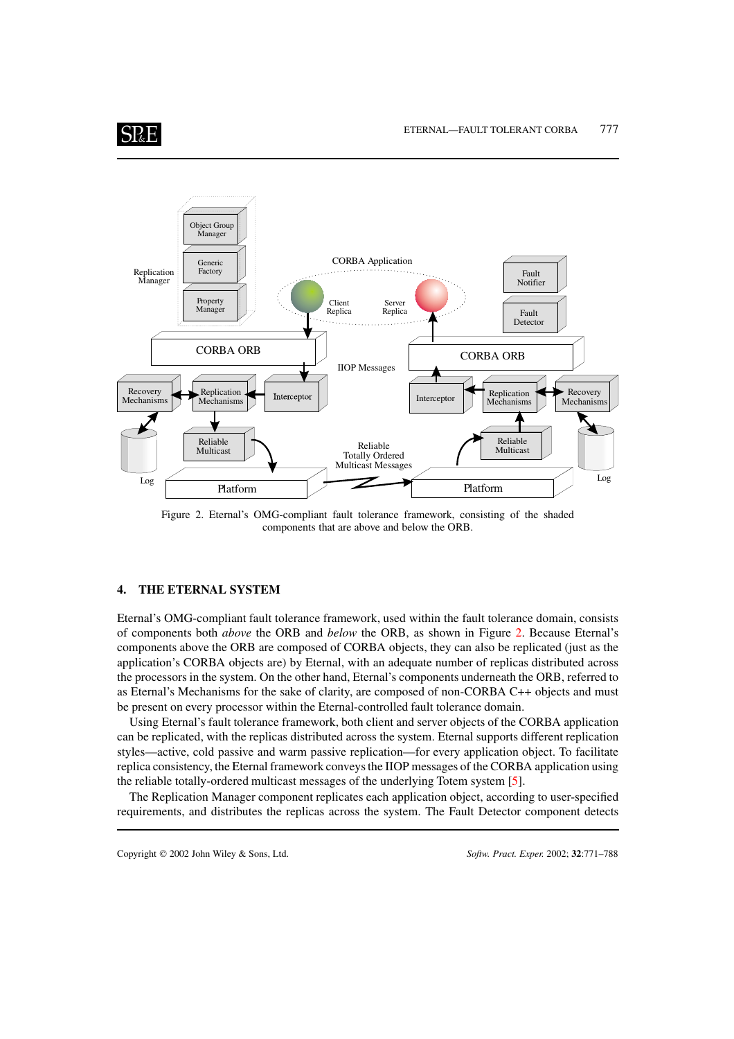<span id="page-6-0"></span>SP.E



Figure 2. Eternal's OMG-compliant fault tolerance framework, consisting of the shaded components that are above and below the ORB.

# **4. THE ETERNAL SYSTEM**

Eternal's OMG-compliant fault tolerance framework, used within the fault tolerance domain, consists of components both *above* the ORB and *below* the ORB, as shown in Figure [2](#page-6-0). Because Eternal's components above the ORB are composed of CORBA objects, they can also be replicated (just as the application's CORBA objects are) by Eternal, with an adequate number of replicas distributed across the processors in the system. On the other hand, Eternal's components underneath the ORB, referred to as Eternal's Mechanisms for the sake of clarity, are composed of non-CORBA C++ objects and must be present on every processor within the Eternal-controlled fault tolerance domain.

Using Eternal's fault tolerance framework, both client and server objects of the CORBA application can be replicated, with the replicas distributed across the system. Eternal supports different replication styles—active, cold passive and warm passive replication—for every application object. To facilitate replica consistency, the Eternal framework conveys the IIOP messages of the CORBA application using the reliable totally-ordered multicast messages of the underlying Totem system [\[5](#page-17-4)].

The Replication Manager component replicates each application object, according to user-specified requirements, and distributes the replicas across the system. The Fault Detector component detects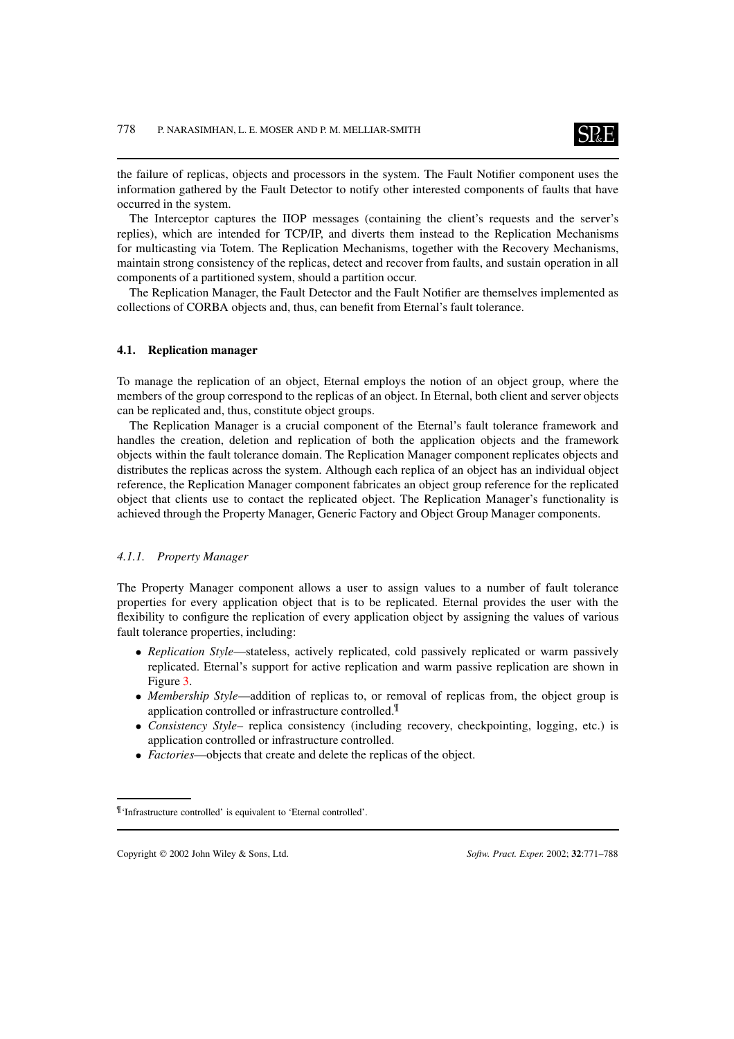the failure of replicas, objects and processors in the system. The Fault Notifier component uses the information gathered by the Fault Detector to notify other interested components of faults that have occurred in the system.

The Interceptor captures the IIOP messages (containing the client's requests and the server's replies), which are intended for TCP/IP, and diverts them instead to the Replication Mechanisms for multicasting via Totem. The Replication Mechanisms, together with the Recovery Mechanisms, maintain strong consistency of the replicas, detect and recover from faults, and sustain operation in all components of a partitioned system, should a partition occur.

The Replication Manager, the Fault Detector and the Fault Notifier are themselves implemented as collections of CORBA objects and, thus, can benefit from Eternal's fault tolerance.

### **4.1. Replication manager**

To manage the replication of an object, Eternal employs the notion of an object group, where the members of the group correspond to the replicas of an object. In Eternal, both client and server objects can be replicated and, thus, constitute object groups.

The Replication Manager is a crucial component of the Eternal's fault tolerance framework and handles the creation, deletion and replication of both the application objects and the framework objects within the fault tolerance domain. The Replication Manager component replicates objects and distributes the replicas across the system. Although each replica of an object has an individual object reference, the Replication Manager component fabricates an object group reference for the replicated object that clients use to contact the replicated object. The Replication Manager's functionality is achieved through the Property Manager, Generic Factory and Object Group Manager components.

#### *4.1.1. Property Manager*

The Property Manager component allows a user to assign values to a number of fault tolerance properties for every application object that is to be replicated. Eternal provides the user with the flexibility to configure the replication of every application object by assigning the values of various fault tolerance properties, including:

- *Replication Style*—stateless, actively replicated, cold passively replicated or warm passively replicated. Eternal's support for active replication and warm passive replication are shown in Figure [3](#page-8-0).
- *Membership Style*—addition of replicas to, or removal of replicas from, the object group is application controlled or infrastructure controlled.¶
- *Consistency Style* replica consistency (including recovery, checkpointing, logging, etc.) is application controlled or infrastructure controlled.
- *Factories*—objects that create and delete the replicas of the object.

<sup>¶&#</sup>x27;Infrastructure controlled' is equivalent to 'Eternal controlled'.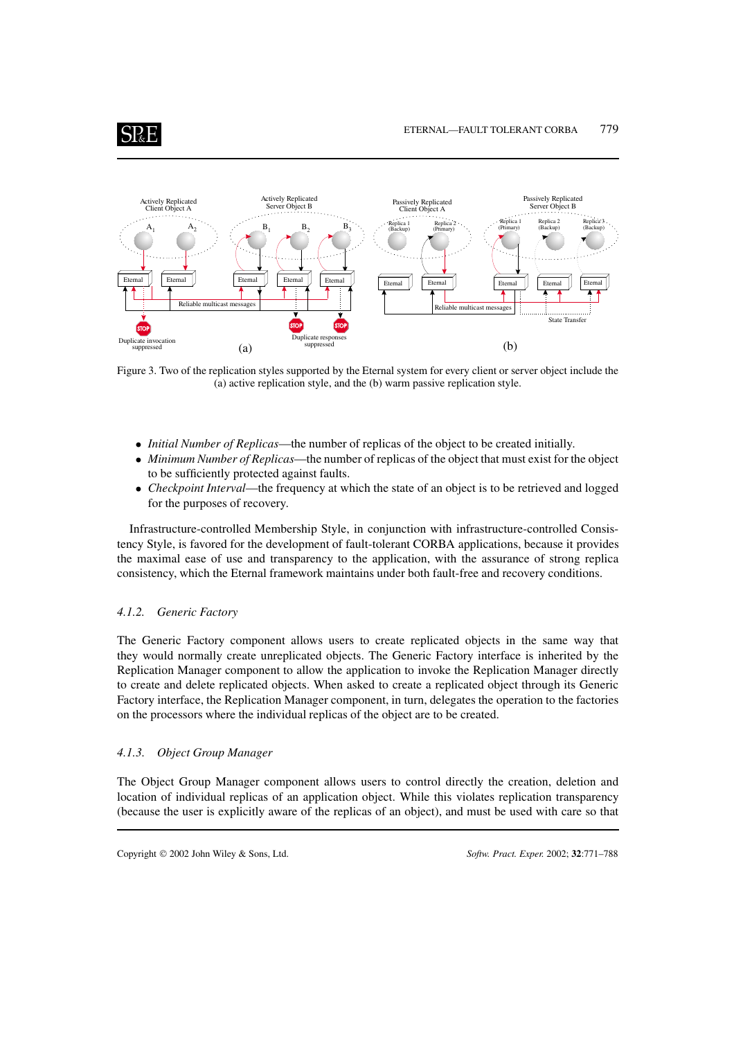<span id="page-8-0"></span>

Figure 3. Two of the replication styles supported by the Eternal system for every client or server object include the (a) active replication style, and the (b) warm passive replication style.

- *Initial Number of Replicas*—the number of replicas of the object to be created initially.
- *Minimum Number of Replicas*—the number of replicas of the object that must exist for the object to be sufficiently protected against faults.
- *Checkpoint Interval*—the frequency at which the state of an object is to be retrieved and logged for the purposes of recovery.

Infrastructure-controlled Membership Style, in conjunction with infrastructure-controlled Consistency Style, is favored for the development of fault-tolerant CORBA applications, because it provides the maximal ease of use and transparency to the application, with the assurance of strong replica consistency, which the Eternal framework maintains under both fault-free and recovery conditions.

# *4.1.2. Generic Factory*

The Generic Factory component allows users to create replicated objects in the same way that they would normally create unreplicated objects. The Generic Factory interface is inherited by the Replication Manager component to allow the application to invoke the Replication Manager directly to create and delete replicated objects. When asked to create a replicated object through its Generic Factory interface, the Replication Manager component, in turn, delegates the operation to the factories on the processors where the individual replicas of the object are to be created.

# *4.1.3. Object Group Manager*

The Object Group Manager component allows users to control directly the creation, deletion and location of individual replicas of an application object. While this violates replication transparency (because the user is explicitly aware of the replicas of an object), and must be used with care so that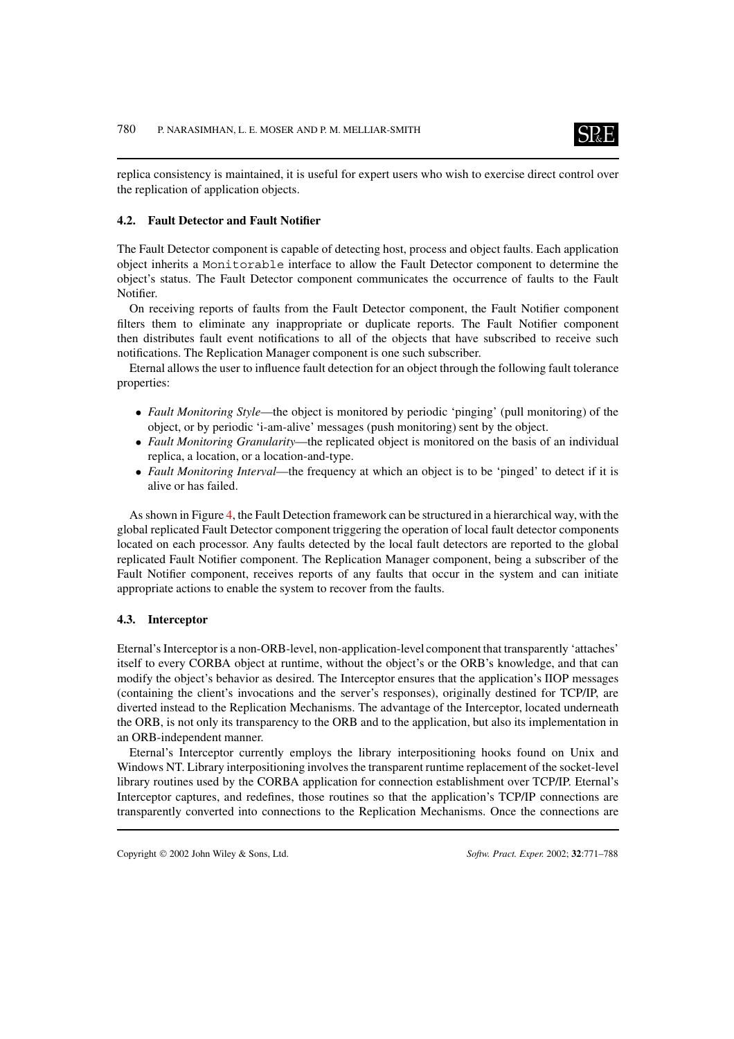

replica consistency is maintained, it is useful for expert users who wish to exercise direct control over the replication of application objects.

### **4.2. Fault Detector and Fault Notifier**

The Fault Detector component is capable of detecting host, process and object faults. Each application object inherits a Monitorable interface to allow the Fault Detector component to determine the object's status. The Fault Detector component communicates the occurrence of faults to the Fault Notifier.

On receiving reports of faults from the Fault Detector component, the Fault Notifier component filters them to eliminate any inappropriate or duplicate reports. The Fault Notifier component then distributes fault event notifications to all of the objects that have subscribed to receive such notifications. The Replication Manager component is one such subscriber.

Eternal allows the user to influence fault detection for an object through the following fault tolerance properties:

- *Fault Monitoring Style*—the object is monitored by periodic 'pinging' (pull monitoring) of the object, or by periodic 'i-am-alive' messages (push monitoring) sent by the object.
- *Fault Monitoring Granularity*—the replicated object is monitored on the basis of an individual replica, a location, or a location-and-type.
- *Fault Monitoring Interval*—the frequency at which an object is to be 'pinged' to detect if it is alive or has failed.

As shown in Figure [4,](#page-10-0) the Fault Detection framework can be structured in a hierarchical way, with the global replicated Fault Detector component triggering the operation of local fault detector components located on each processor. Any faults detected by the local fault detectors are reported to the global replicated Fault Notifier component. The Replication Manager component, being a subscriber of the Fault Notifier component, receives reports of any faults that occur in the system and can initiate appropriate actions to enable the system to recover from the faults.

## **4.3. Interceptor**

Eternal's Interceptor is a non-ORB-level, non-application-level component that transparently 'attaches' itself to every CORBA object at runtime, without the object's or the ORB's knowledge, and that can modify the object's behavior as desired. The Interceptor ensures that the application's IIOP messages (containing the client's invocations and the server's responses), originally destined for TCP/IP, are diverted instead to the Replication Mechanisms. The advantage of the Interceptor, located underneath the ORB, is not only its transparency to the ORB and to the application, but also its implementation in an ORB-independent manner.

Eternal's Interceptor currently employs the library interpositioning hooks found on Unix and Windows NT. Library interpositioning involves the transparent runtime replacement of the socket-level library routines used by the CORBA application for connection establishment over TCP/IP. Eternal's Interceptor captures, and redefines, those routines so that the application's TCP/IP connections are transparently converted into connections to the Replication Mechanisms. Once the connections are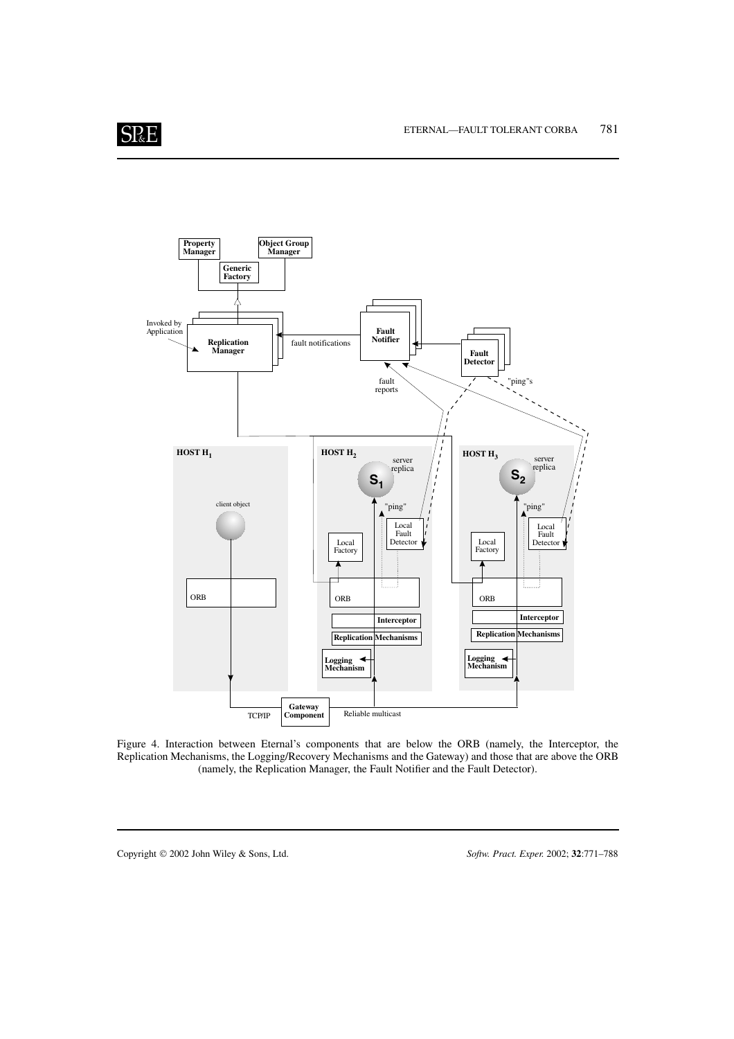

<span id="page-10-0"></span>

Figure 4. Interaction between Eternal's components that are below the ORB (namely, the Interceptor, the Replication Mechanisms, the Logging/Recovery Mechanisms and the Gateway) and those that are above the ORB (namely, the Replication Manager, the Fault Notifier and the Fault Detector).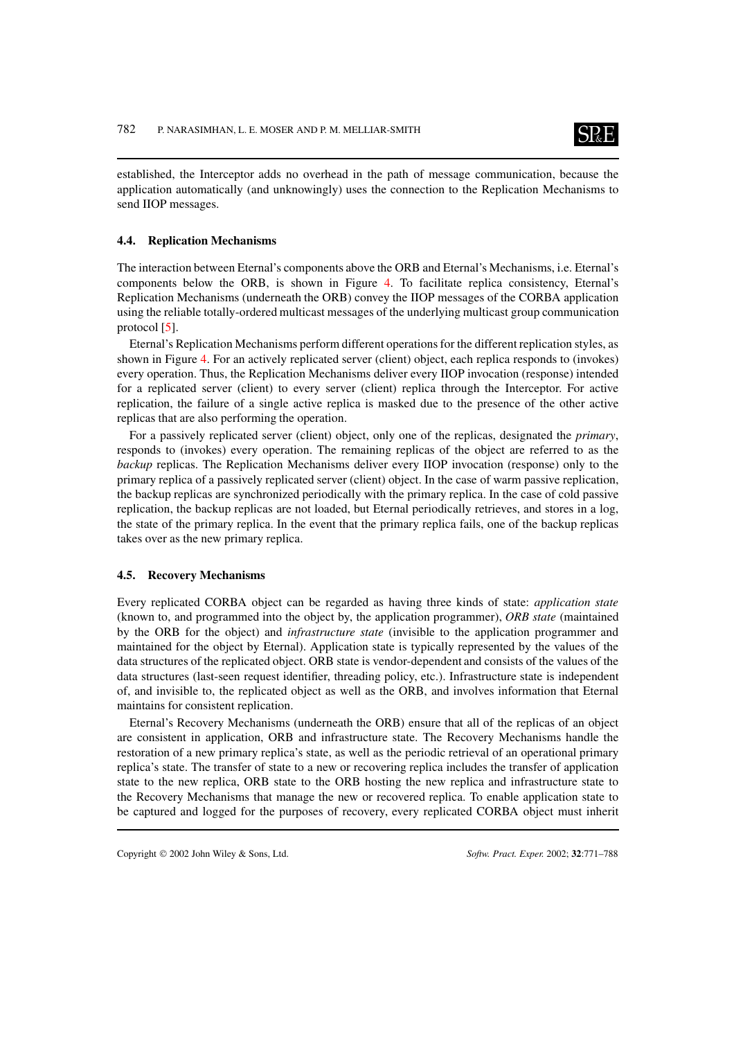

established, the Interceptor adds no overhead in the path of message communication, because the application automatically (and unknowingly) uses the connection to the Replication Mechanisms to send IIOP messages.

## **4.4. Replication Mechanisms**

The interaction between Eternal's components above the ORB and Eternal's Mechanisms, i.e. Eternal's components below the ORB, is shown in Figure [4.](#page-10-0) To facilitate replica consistency, Eternal's Replication Mechanisms (underneath the ORB) convey the IIOP messages of the CORBA application using the reliable totally-ordered multicast messages of the underlying multicast group communication protocol [[5\]](#page-17-4).

Eternal's Replication Mechanisms perform different operations for the different replication styles, as shown in Figure [4.](#page-10-0) For an actively replicated server (client) object, each replica responds to (invokes) every operation. Thus, the Replication Mechanisms deliver every IIOP invocation (response) intended for a replicated server (client) to every server (client) replica through the Interceptor. For active replication, the failure of a single active replica is masked due to the presence of the other active replicas that are also performing the operation.

For a passively replicated server (client) object, only one of the replicas, designated the *primary*, responds to (invokes) every operation. The remaining replicas of the object are referred to as the *backup* replicas. The Replication Mechanisms deliver every IIOP invocation (response) only to the primary replica of a passively replicated server (client) object. In the case of warm passive replication, the backup replicas are synchronized periodically with the primary replica. In the case of cold passive replication, the backup replicas are not loaded, but Eternal periodically retrieves, and stores in a log, the state of the primary replica. In the event that the primary replica fails, one of the backup replicas takes over as the new primary replica.

#### **4.5. Recovery Mechanisms**

Every replicated CORBA object can be regarded as having three kinds of state: *application state* (known to, and programmed into the object by, the application programmer), *ORB state* (maintained by the ORB for the object) and *infrastructure state* (invisible to the application programmer and maintained for the object by Eternal). Application state is typically represented by the values of the data structures of the replicated object. ORB state is vendor-dependent and consists of the values of the data structures (last-seen request identifier, threading policy, etc.). Infrastructure state is independent of, and invisible to, the replicated object as well as the ORB, and involves information that Eternal maintains for consistent replication.

Eternal's Recovery Mechanisms (underneath the ORB) ensure that all of the replicas of an object are consistent in application, ORB and infrastructure state. The Recovery Mechanisms handle the restoration of a new primary replica's state, as well as the periodic retrieval of an operational primary replica's state. The transfer of state to a new or recovering replica includes the transfer of application state to the new replica, ORB state to the ORB hosting the new replica and infrastructure state to the Recovery Mechanisms that manage the new or recovered replica. To enable application state to be captured and logged for the purposes of recovery, every replicated CORBA object must inherit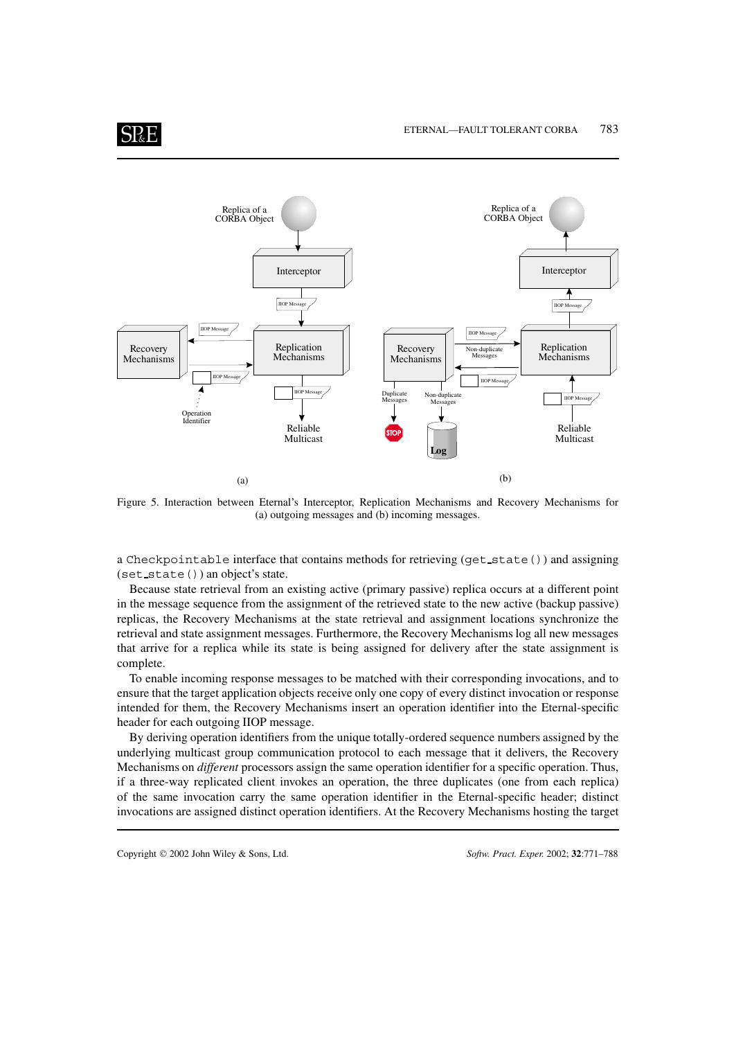<span id="page-12-0"></span>

Figure 5. Interaction between Eternal's Interceptor, Replication Mechanisms and Recovery Mechanisms for (a) outgoing messages and (b) incoming messages.

a Checkpointable interface that contains methods for retrieving (get\_state()) and assigning (set\_state()) an object's state.

Because state retrieval from an existing active (primary passive) replica occurs at a different point in the message sequence from the assignment of the retrieved state to the new active (backup passive) replicas, the Recovery Mechanisms at the state retrieval and assignment locations synchronize the retrieval and state assignment messages. Furthermore, the Recovery Mechanisms log all new messages that arrive for a replica while its state is being assigned for delivery after the state assignment is complete.

To enable incoming response messages to be matched with their corresponding invocations, and to ensure that the target application objects receive only one copy of every distinct invocation or response intended for them, the Recovery Mechanisms insert an operation identifier into the Eternal-specific header for each outgoing IIOP message.

By deriving operation identifiers from the unique totally-ordered sequence numbers assigned by the underlying multicast group communication protocol to each message that it delivers, the Recovery Mechanisms on *different* processors assign the same operation identifier for a specific operation. Thus, if a three-way replicated client invokes an operation, the three duplicates (one from each replica) of the same invocation carry the same operation identifier in the Eternal-specific header; distinct invocations are assigned distinct operation identifiers. At the Recovery Mechanisms hosting the target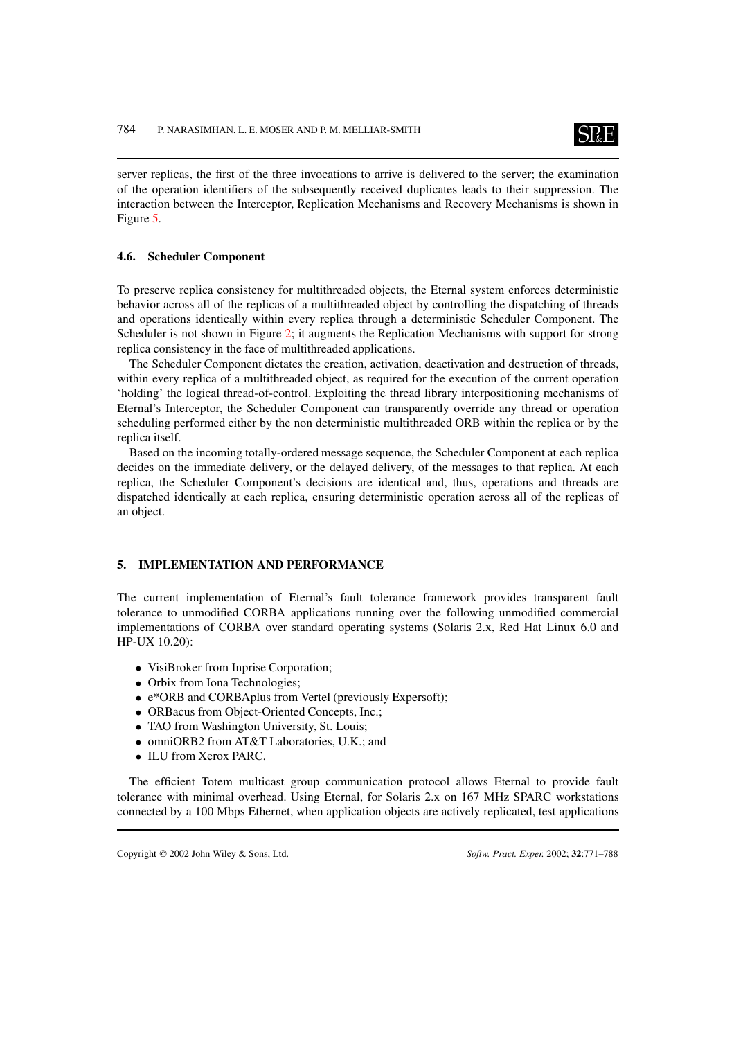

server replicas, the first of the three invocations to arrive is delivered to the server; the examination of the operation identifiers of the subsequently received duplicates leads to their suppression. The interaction between the Interceptor, Replication Mechanisms and Recovery Mechanisms is shown in Figure [5.](#page-12-0)

## **4.6. Scheduler Component**

To preserve replica consistency for multithreaded objects, the Eternal system enforces deterministic behavior across all of the replicas of a multithreaded object by controlling the dispatching of threads and operations identically within every replica through a deterministic Scheduler Component. The Scheduler is not shown in Figure [2](#page-6-0); it augments the Replication Mechanisms with support for strong replica consistency in the face of multithreaded applications.

The Scheduler Component dictates the creation, activation, deactivation and destruction of threads, within every replica of a multithreaded object, as required for the execution of the current operation 'holding' the logical thread-of-control. Exploiting the thread library interpositioning mechanisms of Eternal's Interceptor, the Scheduler Component can transparently override any thread or operation scheduling performed either by the non deterministic multithreaded ORB within the replica or by the replica itself.

Based on the incoming totally-ordered message sequence, the Scheduler Component at each replica decides on the immediate delivery, or the delayed delivery, of the messages to that replica. At each replica, the Scheduler Component's decisions are identical and, thus, operations and threads are dispatched identically at each replica, ensuring deterministic operation across all of the replicas of an object.

## **5. IMPLEMENTATION AND PERFORMANCE**

The current implementation of Eternal's fault tolerance framework provides transparent fault tolerance to unmodified CORBA applications running over the following unmodified commercial implementations of CORBA over standard operating systems (Solaris 2.x, Red Hat Linux 6.0 and HP-UX 10.20):

- VisiBroker from Inprise Corporation;
- Orbix from Iona Technologies;
- e\*ORB and CORBAplus from Vertel (previously Expersoft);
- ORBacus from Object-Oriented Concepts, Inc.;
- TAO from Washington University, St. Louis;
- omniORB2 from AT&T Laboratories, U.K.; and
- ILU from Xerox PARC.

The efficient Totem multicast group communication protocol allows Eternal to provide fault tolerance with minimal overhead. Using Eternal, for Solaris 2.x on 167 MHz SPARC workstations connected by a 100 Mbps Ethernet, when application objects are actively replicated, test applications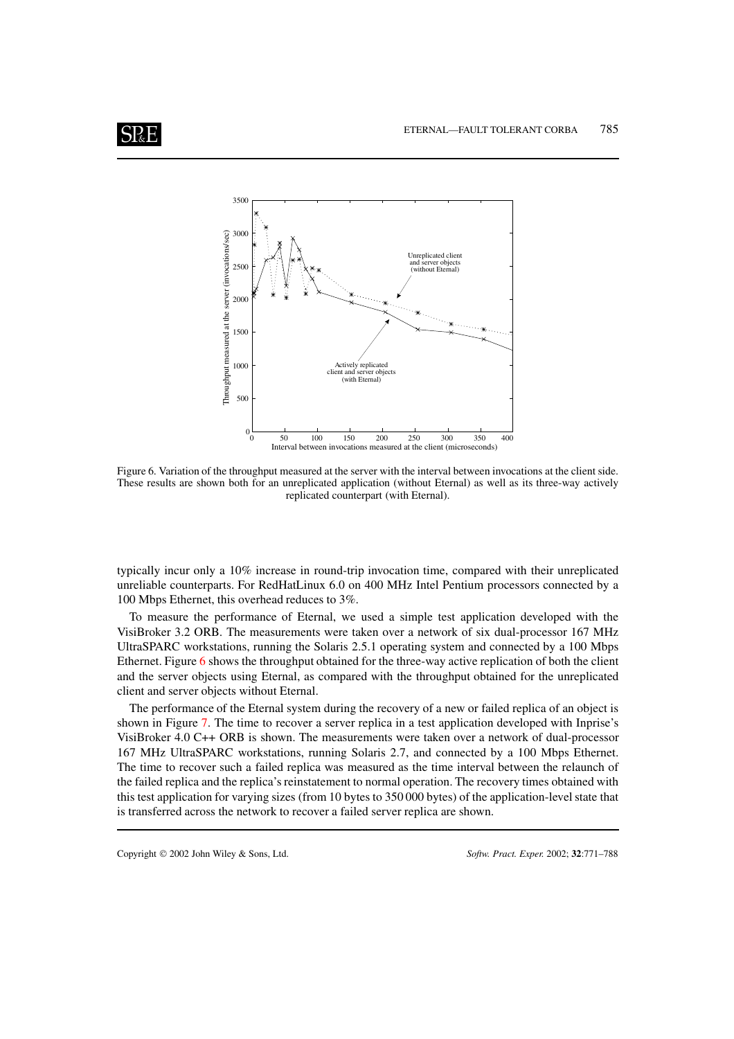<span id="page-14-0"></span>

Figure 6. Variation of the throughput measured at the server with the interval between invocations at the client side. These results are shown both for an unreplicated application (without Eternal) as well as its three-way actively replicated counterpart (with Eternal).

typically incur only a 10% increase in round-trip invocation time, compared with their unreplicated unreliable counterparts. For RedHatLinux 6.0 on 400 MHz Intel Pentium processors connected by a 100 Mbps Ethernet, this overhead reduces to 3%.

To measure the performance of Eternal, we used a simple test application developed with the VisiBroker 3.2 ORB. The measurements were taken over a network of six dual-processor 167 MHz UltraSPARC workstations, running the Solaris 2.5.1 operating system and connected by a 100 Mbps Ethernet. Figure [6](#page-14-0) shows the throughput obtained for the three-way active replication of both the client and the server objects using Eternal, as compared with the throughput obtained for the unreplicated client and server objects without Eternal.

The performance of the Eternal system during the recovery of a new or failed replica of an object is shown in Figure [7](#page-15-0). The time to recover a server replica in a test application developed with Inprise's VisiBroker 4.0 C++ ORB is shown. The measurements were taken over a network of dual-processor 167 MHz UltraSPARC workstations, running Solaris 2.7, and connected by a 100 Mbps Ethernet. The time to recover such a failed replica was measured as the time interval between the relaunch of the failed replica and the replica's reinstatement to normal operation. The recovery times obtained with this test application for varying sizes (from 10 bytes to 350 000 bytes) of the application-level state that is transferred across the network to recover a failed server replica are shown.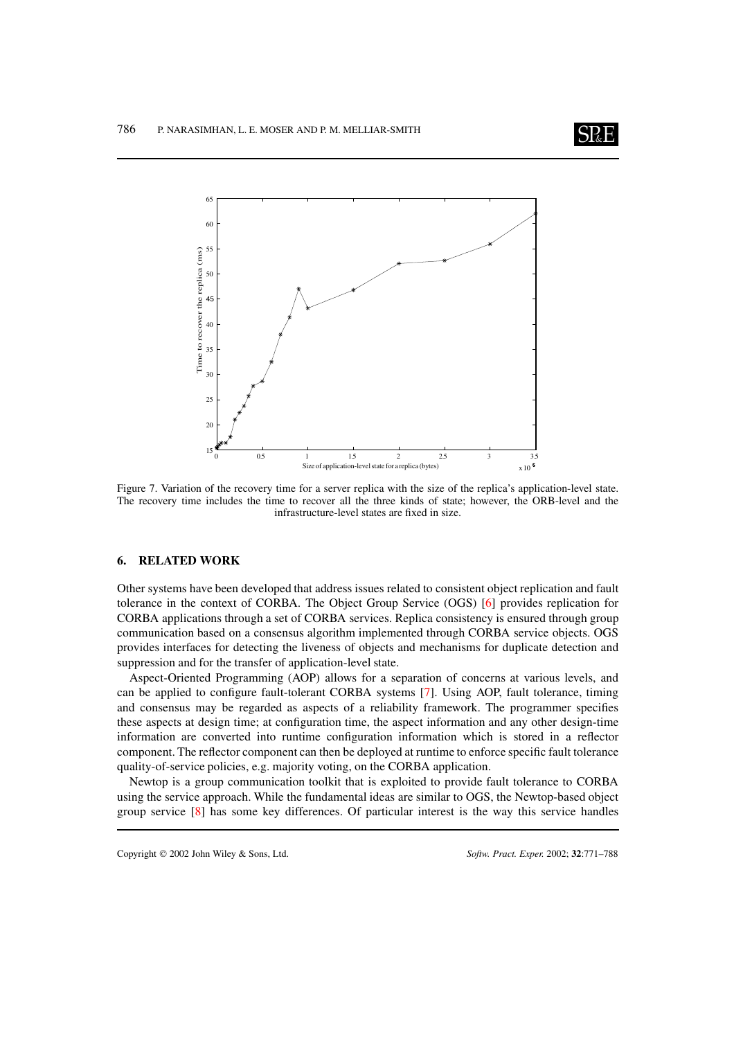

<span id="page-15-0"></span>

Figure 7. Variation of the recovery time for a server replica with the size of the replica's application-level state. The recovery time includes the time to recover all the three kinds of state; however, the ORB-level and the infrastructure-level states are fixed in size.

### **6. RELATED WORK**

Other systems have been developed that address issues related to consistent object replication and fault tolerance in the context of CORBA. The Object Group Service (OGS) [\[6\]](#page-17-5) provides replication for CORBA applications through a set of CORBA services. Replica consistency is ensured through group communication based on a consensus algorithm implemented through CORBA service objects. OGS provides interfaces for detecting the liveness of objects and mechanisms for duplicate detection and suppression and for the transfer of application-level state.

Aspect-Oriented Programming (AOP) allows for a separation of concerns at various levels, and can be applied to configure fault-tolerant CORBA systems [[7\]](#page-17-6). Using AOP, fault tolerance, timing and consensus may be regarded as aspects of a reliability framework. The programmer specifies these aspects at design time; at configuration time, the aspect information and any other design-time information are converted into runtime configuration information which is stored in a reflector component. The reflector component can then be deployed at runtime to enforce specific fault tolerance quality-of-service policies, e.g. majority voting, on the CORBA application.

Newtop is a group communication toolkit that is exploited to provide fault tolerance to CORBA using the service approach. While the fundamental ideas are similar to OGS, the Newtop-based object group service [\[8\]](#page-17-7) has some key differences. Of particular interest is the way this service handles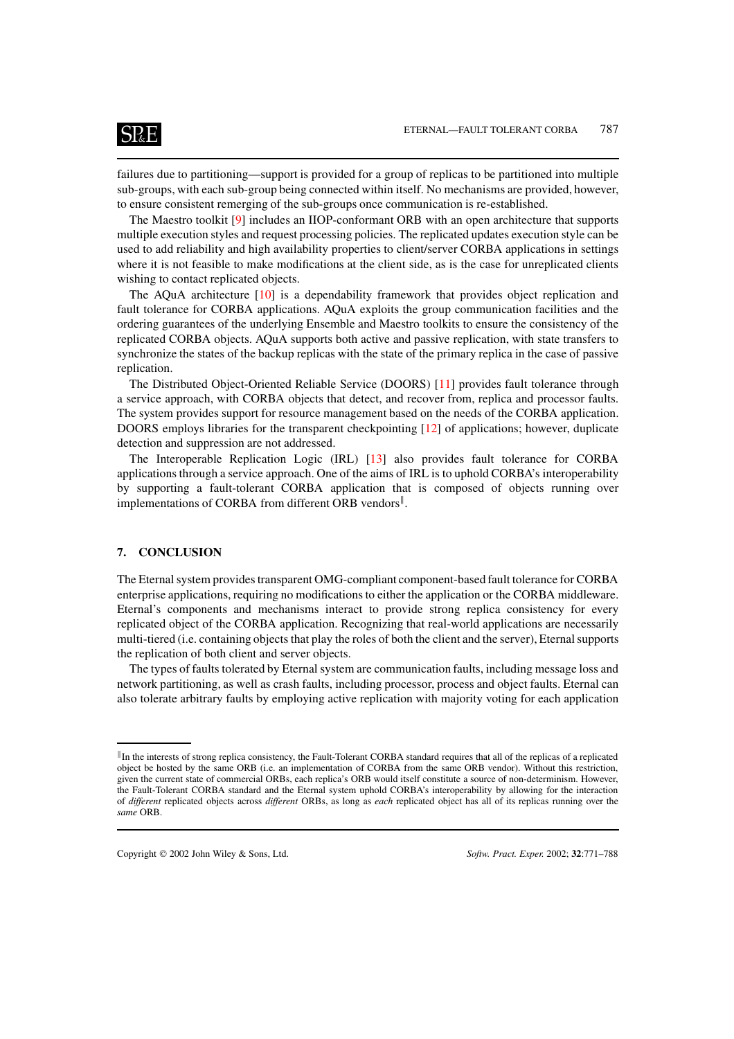

failures due to partitioning—support is provided for a group of replicas to be partitioned into multiple sub-groups, with each sub-group being connected within itself. No mechanisms are provided, however, to ensure consistent remerging of the sub-groups once communication is re-established.

The Maestro toolkit [[9\]](#page-17-11) includes an IIOP-conformant ORB with an open architecture that supports multiple execution styles and request processing policies. The replicated updates execution style can be used to add reliability and high availability properties to client/server CORBA applications in settings where it is not feasible to make modifications at the client side, as is the case for unreplicated clients wishing to contact replicated objects.

The AQuA architecture [[10\]](#page-17-8) is a dependability framework that provides object replication and fault tolerance for CORBA applications. AQuA exploits the group communication facilities and the ordering guarantees of the underlying Ensemble and Maestro toolkits to ensure the consistency of the replicated CORBA objects. AQuA supports both active and passive replication, with state transfers to synchronize the states of the backup replicas with the state of the primary replica in the case of passive replication.

The Distributed Object-Oriented Reliable Service (DOORS) [[11\]](#page-17-12) provides fault tolerance through a service approach, with CORBA objects that detect, and recover from, replica and processor faults. The system provides support for resource management based on the needs of the CORBA application. DOORS employs libraries for the transparent checkpointing [\[12](#page-17-9)] of applications; however, duplicate detection and suppression are not addressed.

The Interoperable Replication Logic (IRL) [\[13\]](#page-17-10) also provides fault tolerance for CORBA applications through a service approach. One of the aims of IRL is to uphold CORBA's interoperability by supporting a fault-tolerant CORBA application that is composed of objects running over implementations of CORBA from different ORB vendors<sup>11</sup>.

# **7. CONCLUSION**

The Eternal system provides transparent OMG-compliant component-based fault tolerance for CORBA enterprise applications, requiring no modifications to either the application or the CORBA middleware. Eternal's components and mechanisms interact to provide strong replica consistency for every replicated object of the CORBA application. Recognizing that real-world applications are necessarily multi-tiered (i.e. containing objects that play the roles of both the client and the server), Eternal supports the replication of both client and server objects.

The types of faults tolerated by Eternal system are communication faults, including message loss and network partitioning, as well as crash faults, including processor, process and object faults. Eternal can also tolerate arbitrary faults by employing active replication with majority voting for each application

In the interests of strong replica consistency, the Fault-Tolerant CORBA standard requires that all of the replicas of a replicated object be hosted by the same ORB (i.e. an implementation of CORBA from the same ORB vendor). Without this restriction, given the current state of commercial ORBs, each replica's ORB would itself constitute a source of non-determinism. However, the Fault-Tolerant CORBA standard and the Eternal system uphold CORBA's interoperability by allowing for the interaction of *different* replicated objects across *different* ORBs, as long as *each* replicated object has all of its replicas running over the *same* ORB.